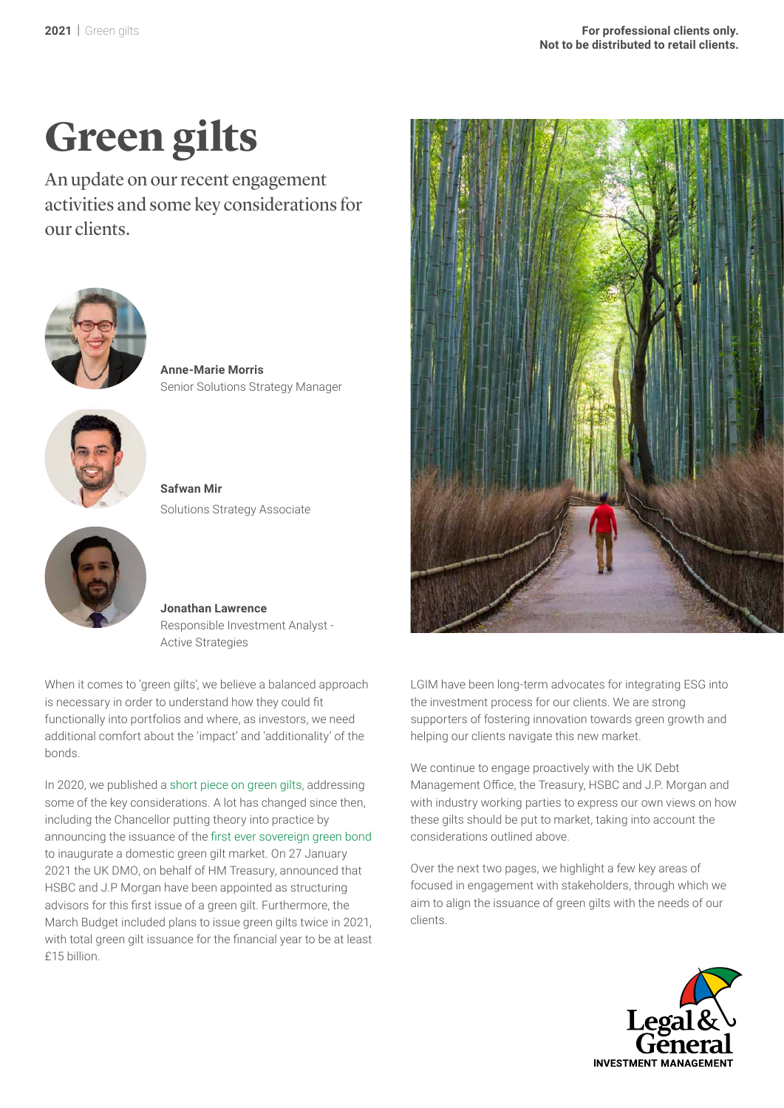# **Green gilts**

An update on our recent engagement activities and some key considerations for our clients.



**Anne-Marie Morris** Senior Solutions Strategy Manager



**Safwan Mir**  Solutions Strategy Associate



**Jonathan Lawrence** Responsible Investment Analyst - Active Strategies

When it comes to 'green gilts', we believe a balanced approach is necessary in order to understand how they could fit functionally into portfolios and where, as investors, we need additional comfort about the 'impact' and 'additionality' of the bonds.

In 2020, we published a [short piece on green gilts](https://www.lgimblog.com/categories/esg-and-long-term-themes/are-green-sovereign-bonds-the-penguins-in-somalia/), addressing some of the key considerations. A lot has changed since then, including the Chancellor putting theory into practice by announcing the issuance of the [first ever sovereign green bond](https://www.lgimblog.com/categories/esg-and-long-term-themes/gilts-go-green/)  to inaugurate a domestic green gilt market. On 27 January 2021 the UK DMO, on behalf of HM Treasury, announced that HSBC and J.P Morgan have been appointed as structuring advisors for this first issue of a green gilt. Furthermore, the March Budget included plans to issue green gilts twice in 2021, with total green gilt issuance for the financial year to be at least £15 billion.



LGIM have been long-term advocates for integrating ESG into the investment process for our clients. We are strong supporters of fostering innovation towards green growth and helping our clients navigate this new market.

We continue to engage proactively with the UK Debt Management Office, the Treasury, HSBC and J.P. Morgan and with industry working parties to express our own views on how these gilts should be put to market, taking into account the considerations outlined above.

Over the next two pages, we highlight a few key areas of focused in engagement with stakeholders, through which we aim to align the issuance of green gilts with the needs of our clients.

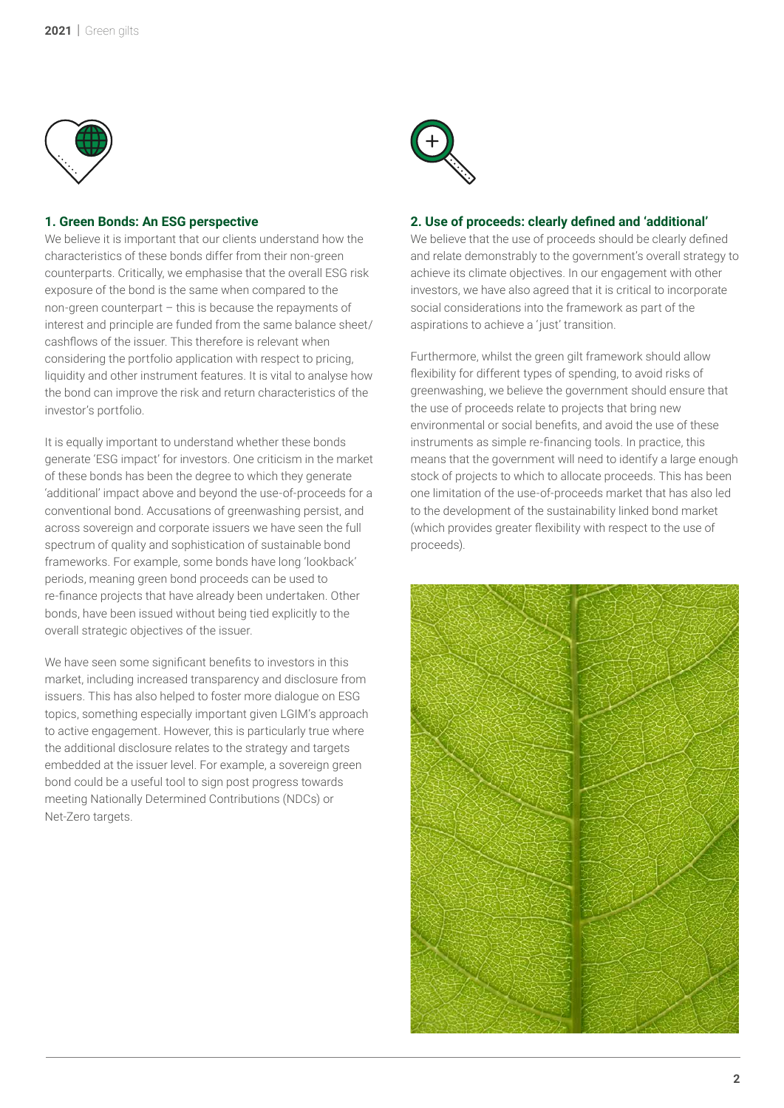

#### **1. Green Bonds: An ESG perspective**

We believe it is important that our clients understand how the characteristics of these bonds differ from their non-green counterparts. Critically, we emphasise that the overall ESG risk exposure of the bond is the same when compared to the non-green counterpart – this is because the repayments of interest and principle are funded from the same balance sheet/ cashflows of the issuer. This therefore is relevant when considering the portfolio application with respect to pricing, liquidity and other instrument features. It is vital to analyse how the bond can improve the risk and return characteristics of the investor's portfolio.

It is equally important to understand whether these bonds generate 'ESG impact' for investors. One criticism in the market of these bonds has been the degree to which they generate 'additional' impact above and beyond the use-of-proceeds for a conventional bond. Accusations of greenwashing persist, and across sovereign and corporate issuers we have seen the full spectrum of quality and sophistication of sustainable bond frameworks. For example, some bonds have long 'lookback' periods, meaning green bond proceeds can be used to re-finance projects that have already been undertaken. Other bonds, have been issued without being tied explicitly to the overall strategic objectives of the issuer.

We have seen some significant benefits to investors in this market, including increased transparency and disclosure from issuers. This has also helped to foster more dialogue on ESG topics, something especially important given LGIM's approach to active engagement. However, this is particularly true where the additional disclosure relates to the strategy and targets embedded at the issuer level. For example, a sovereign green bond could be a useful tool to sign post progress towards meeting Nationally Determined Contributions (NDCs) or Net-Zero targets.



#### **2. Use of proceeds: clearly defined and 'additional'**

We believe that the use of proceeds should be clearly defined and relate demonstrably to the government's overall strategy to achieve its climate objectives. In our engagement with other investors, we have also agreed that it is critical to incorporate social considerations into the framework as part of the aspirations to achieve a 'just' transition.

Furthermore, whilst the green gilt framework should allow flexibility for different types of spending, to avoid risks of greenwashing, we believe the government should ensure that the use of proceeds relate to projects that bring new environmental or social benefits, and avoid the use of these instruments as simple re-financing tools. In practice, this means that the government will need to identify a large enough stock of projects to which to allocate proceeds. This has been one limitation of the use-of-proceeds market that has also led to the development of the sustainability linked bond market (which provides greater flexibility with respect to the use of proceeds).

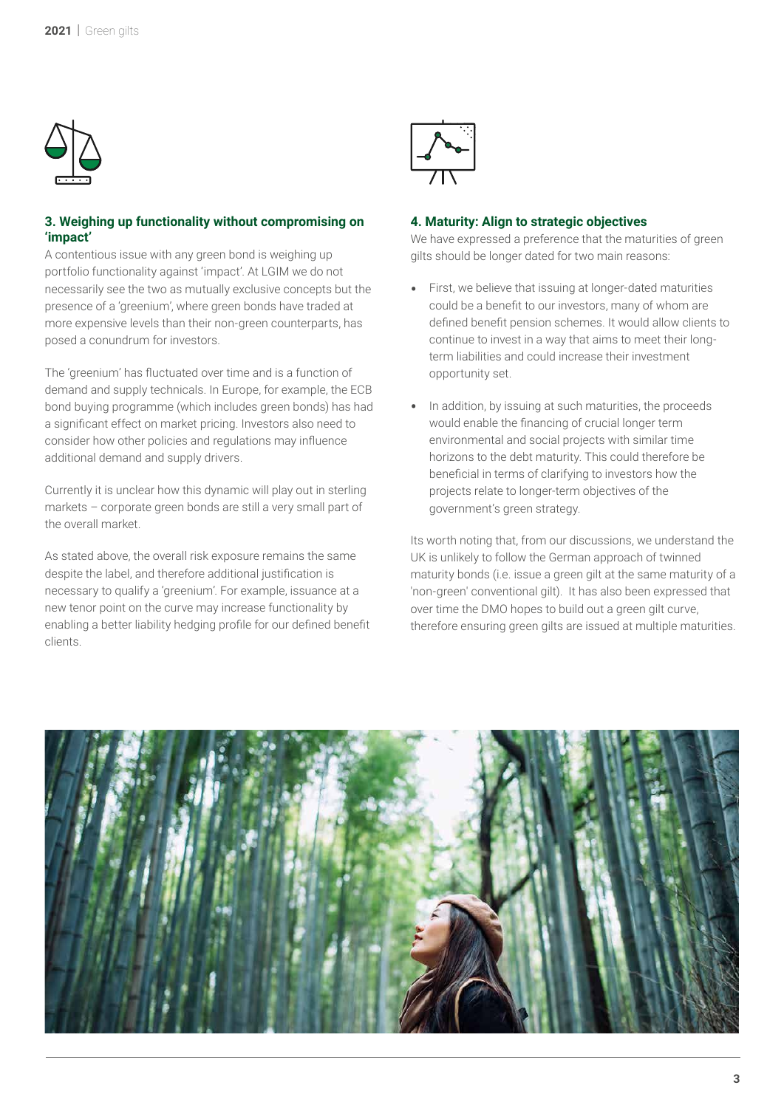

### **3. Weighing up functionality without compromising on 'impact'**

A contentious issue with any green bond is weighing up portfolio functionality against 'impact'. At LGIM we do not necessarily see the two as mutually exclusive concepts but the presence of a 'greenium', where green bonds have traded at more expensive levels than their non-green counterparts, has posed a conundrum for investors.

The 'greenium' has fluctuated over time and is a function of demand and supply technicals. In Europe, for example, the ECB bond buying programme (which includes green bonds) has had a significant effect on market pricing. Investors also need to consider how other policies and regulations may influence additional demand and supply drivers.

Currently it is unclear how this dynamic will play out in sterling markets – corporate green bonds are still a very small part of the overall market.

As stated above, the overall risk exposure remains the same despite the label, and therefore additional justification is necessary to qualify a 'greenium'. For example, issuance at a new tenor point on the curve may increase functionality by enabling a better liability hedging profile for our defined benefit clients.



#### **4. Maturity: Align to strategic objectives**

We have expressed a preference that the maturities of green gilts should be longer dated for two main reasons:

- First, we believe that issuing at longer-dated maturities could be a benefit to our investors, many of whom are defined benefit pension schemes. It would allow clients to continue to invest in a way that aims to meet their longterm liabilities and could increase their investment opportunity set.
- In addition, by issuing at such maturities, the proceeds would enable the financing of crucial longer term environmental and social projects with similar time horizons to the debt maturity. This could therefore be beneficial in terms of clarifying to investors how the projects relate to longer-term objectives of the government's green strategy.

Its worth noting that, from our discussions, we understand the UK is unlikely to follow the German approach of twinned maturity bonds (i.e. issue a green gilt at the same maturity of a 'non-green' conventional gilt). It has also been expressed that over time the DMO hopes to build out a green gilt curve, therefore ensuring green gilts are issued at multiple maturities.